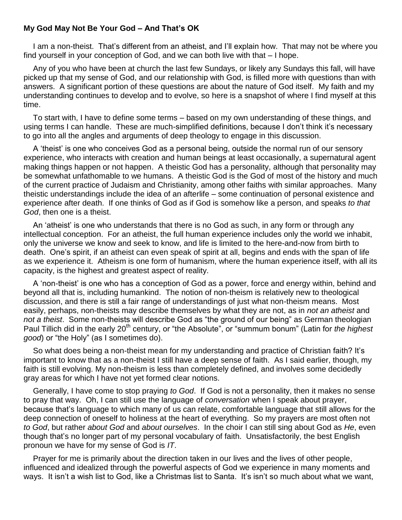## **My God May Not Be Your God – And That's OK**

I am a non-theist. That's different from an atheist, and I'll explain how. That may not be where you find yourself in your conception of God, and we can both live with that – I hope.

Any of you who have been at church the last few Sundays, or likely any Sundays this fall, will have picked up that my sense of God, and our relationship with God, is filled more with questions than with answers. A significant portion of these questions are about the nature of God itself. My faith and my understanding continues to develop and to evolve, so here is a snapshot of where I find myself at this time.

To start with, I have to define some terms – based on my own understanding of these things, and using terms I can handle. These are much-simplified definitions, because I don't think it's necessary to go into all the angles and arguments of deep theology to engage in this discussion.

A 'theist' is one who conceives God as a personal being, outside the normal run of our sensory experience, who interacts with creation and human beings at least occasionally, a supernatural agent making things happen or not happen. A theistic God has a personality, although that personality may be somewhat unfathomable to we humans. A theistic God is the God of most of the history and much of the current practice of Judaism and Christianity, among other faiths with similar approaches. Many theistic understandings include the idea of an afterlife – some continuation of personal existence and experience after death. If one thinks of God as if God is somehow like a person, and speaks *to that God*, then one is a theist.

An 'atheist' is one who understands that there is no God as such, in any form or through any intellectual conception. For an atheist, the full human experience includes only the world we inhabit, only the universe we know and seek to know, and life is limited to the here-and-now from birth to death. One's spirit, if an atheist can even speak of spirit at all, begins and ends with the span of life as we experience it. Atheism is one form of humanism, where the human experience itself, with all its capacity, is the highest and greatest aspect of reality.

A 'non-theist' is one who has a conception of God as a power, force and energy within, behind and beyond all that is, including humankind. The notion of non-theism is relatively new to theological discussion, and there is still a fair range of understandings of just what non-theism means. Most easily, perhaps, non-theists may describe themselves by what they are not, as in *not an atheist* and *not a theist*. Some non-theists will describe God as "the ground of our being" as German theologian Paul Tillich did in the early 20<sup>th</sup> century, or "the Absolute", or "summum bonum" (Latin for *the highest good*) or "the Holy" (as I sometimes do).

So what does being a non-theist mean for my understanding and practice of Christian faith? It's important to know that as a non-theist I still have a deep sense of faith. As I said earlier, though, my faith is still evolving. My non-theism is less than completely defined, and involves some decidedly gray areas for which I have not yet formed clear notions.

Generally, I have come to stop praying *to God*. If God is not a personality, then it makes no sense to pray that way. Oh, I can still use the language of *conversation* when I speak about prayer, because that's language to which many of us can relate, comfortable language that still allows for the deep connection of oneself to holiness at the heart of everything. So my prayers are most often not *to God*, but rather *about God* and *about ourselves*. In the choir I can still sing about God as *He*, even though that's no longer part of my personal vocabulary of faith. Unsatisfactorily, the best English pronoun we have for my sense of God is *IT*.

Prayer for me is primarily about the direction taken in our lives and the lives of other people, influenced and idealized through the powerful aspects of God we experience in many moments and ways. It isn't a wish list to God, like a Christmas list to Santa. It's isn't so much about what we want,